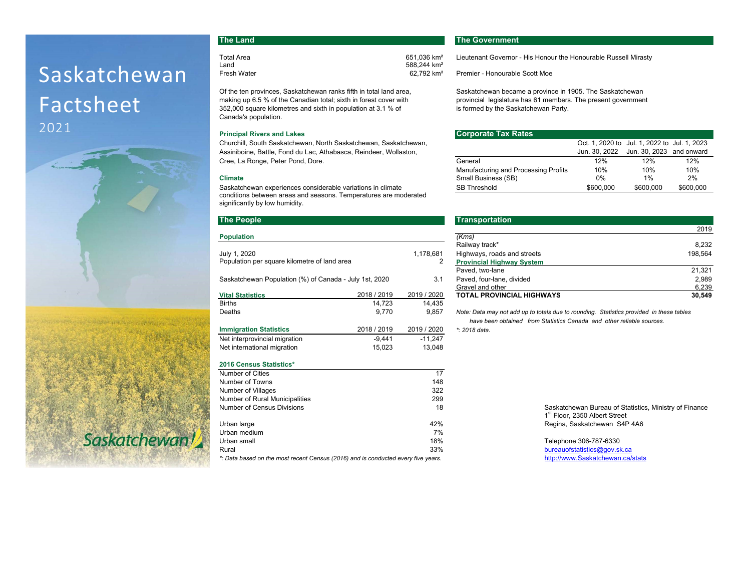# Saskatchewan Factsheet 2021



Saskatchewan!

Of the ten provinces, Saskatchewan ranks fifth in total land area, Saskatchewan became a province in 1905. The Saskatchewan making up 6.5 % of the Canadian total; sixth in forest cover with provincial legislature has 61 members. The present government 352,000 square kilometres and sixth in population at 3.1 % of intermed by the Saskatchewan Party. Canada's population.

### **Principal Rivers and Lakes**

Churchill, South Saskatchewan, North Saskatchewan, Saskatchewan, Assiniboine, Battle, Fond du Lac, Athabasca, Reindeer, Wollaston, Cree, La Ronge, Peter Pond, Dore.

#### **Climate**

Saskatchewan experiences considerable variations in climate conditions between areas and seasons. Temperatures are moderated significantly by low humidity.

#### **The People**

| <b>Population</b>                                      | (Kms)       |             |                                         |
|--------------------------------------------------------|-------------|-------------|-----------------------------------------|
|                                                        |             |             | Railway track*                          |
| July 1, 2020                                           |             | 1,178,681   | Highways, roads and streets             |
| Population per square kilometre of land area           |             | 2           | <b>Provincial Highway System</b>        |
|                                                        |             |             | Paved, two-lane                         |
| Saskatchewan Population (%) of Canada - July 1st, 2020 |             | 3.1         | Paved, four-lane, divided               |
|                                                        |             |             | Gravel and other                        |
| <b>Vital Statistics</b>                                | 2018 / 2019 | 2019 / 2020 | <b>TOTAL PROVINCIAL HIGHWAYS</b>        |
| <b>Births</b>                                          | 14.723      | 14.435      |                                         |
| Deaths                                                 | 9.770       | 9.857       | Note: Data may not add up to totals due |
|                                                        |             |             | have been obtained from Statistic       |
| <b>Immigration Statistics</b>                          | 2018 / 2019 | 2019 / 2020 | *: 2018 data.                           |
| Net interprovincial migration                          | $-9.441$    | $-11.247$   |                                         |
| Net international migration                            | 15.023      | 13.048      |                                         |
| <b>2016 Census Statistics*</b>                         |             |             |                                         |

| Number of Cities                                                                  | 17  |  |  |  |  |
|-----------------------------------------------------------------------------------|-----|--|--|--|--|
| Number of Towns                                                                   | 148 |  |  |  |  |
| Number of Villages                                                                | 322 |  |  |  |  |
| Number of Rural Municipalities                                                    | 299 |  |  |  |  |
| Number of Census Divisions                                                        | 18  |  |  |  |  |
|                                                                                   |     |  |  |  |  |
| Urban large                                                                       | 42% |  |  |  |  |
| Urban medium                                                                      | 7%  |  |  |  |  |
| Urban small                                                                       | 18% |  |  |  |  |
| Rural                                                                             | 33% |  |  |  |  |
| *: Data based on the most recent Census (2016) and is conducted every five years. |     |  |  |  |  |

## **The Land The Government**

588,244 km<sup>2</sup>

Total Area 1982 1993 651,036 km<sup>2</sup> Lieutenant Governor - His Honour the Honourable Russell Mirasty<br>Land 1996 658.244 km<sup>2</sup> Fresh Water 62,792 km² Premier - Honourable Scott Moe

| al Rivers and Lakes                                         | <b>Corporate Tax Rates</b>           |           |                                              |           |
|-------------------------------------------------------------|--------------------------------------|-----------|----------------------------------------------|-----------|
| iill, South Saskatchewan, North Saskatchewan, Saskatchewan, |                                      |           | Oct. 1, 2020 to Jul. 1, 2022 to Jul. 1, 2023 |           |
| oine, Battle, Fond du Lac, Athabasca, Reindeer, Wollaston,  |                                      |           | Jun. 30, 2022 Jun. 30, 2023 and onward       |           |
| a Ronge, Peter Pond, Dore.                                  | General                              | 12%       | 12%                                          | 12%       |
|                                                             | Manufacturing and Processing Profits | 10%       | 10%                                          | 10%       |
|                                                             | Small Business (SB)                  | 0%        | 1%                                           | 2%        |
| chewan experiences considerable variations in climate       | <b>SB Threshold</b>                  | \$600,000 | \$600,000                                    | \$600,000 |
|                                                             |                                      |           |                                              |           |

| <b>The People</b>                                      |             |             | <b>Transportation</b>            |         |
|--------------------------------------------------------|-------------|-------------|----------------------------------|---------|
|                                                        |             |             |                                  | 2019    |
| <b>Population</b>                                      |             |             | (Kms)                            |         |
|                                                        |             |             | Railway track*                   | 8.232   |
| July 1, 2020                                           |             | 1.178.681   | Highways, roads and streets      | 198.564 |
| Population per square kilometre of land area           |             |             | <b>Provincial Highway System</b> |         |
|                                                        |             |             | Paved, two-lane                  | 21.321  |
| Saskatchewan Population (%) of Canada - July 1st, 2020 |             | 3.1         | Paved, four-lane, divided        | 2.989   |
|                                                        |             |             | Gravel and other                 | 6,239   |
| <b>Vital Statistics</b>                                | 2018 / 2019 | 2019 / 2020 | <b>TOTAL PROVINCIAL HIGHWAYS</b> | 30.549  |
|                                                        |             |             |                                  |         |

Note: Data may not add up to totals due to rounding. Statistics provided in these tables  *have been obtained from Statistics Canada and other reliable sources.***Immigration Statistics** 2018 / 2019 2019 / 2020 *\*: 2018 data.*

> Saskatchewan Bureau of Statistics, Ministry of Finance 1<sup>st</sup> Floor, 2350 Albert Street Regina, Saskatchewan S4P 4A6

Telephone 306-787-6330 bureauofstatistics@gov.sk.ca<br>http://www.Saskatchewan.ca/stats